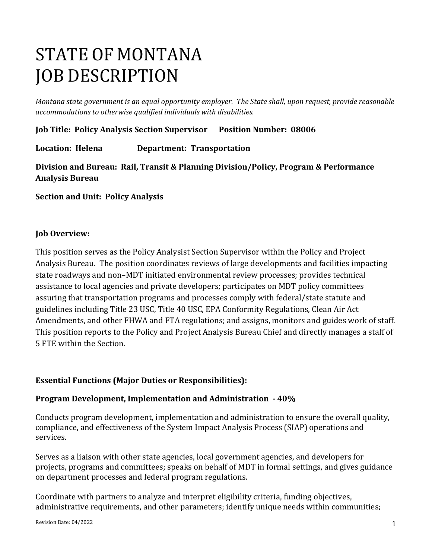# STATE OF MONTANA JOB DESCRIPTION

*Montana state government is an equal opportunity employer. The State shall, upon request, provide reasonable accommodations to otherwise qualified individuals with disabilities.*

**Job Title: Policy Analysis Section Supervisor Position Number: 08006** 

**Location: Helena Department: Transportation** 

**Division and Bureau: Rail, Transit & Planning Division/Policy, Program & Performance Analysis Bureau** 

**Section and Unit: Policy Analysis**

#### **Job Overview:**

This position serves as the Policy Analysist Section Supervisor within the Policy and Project Analysis Bureau. The position coordinates reviews of large developments and facilities impacting state roadways and non–MDT initiated environmental review processes; provides technical assistance to local agencies and private developers; participates on MDT policy committees assuring that transportation programs and processes comply with federal/state statute and guidelines including Title 23 USC, Title 40 USC, EPA Conformity Regulations, Clean Air Act Amendments, and other FHWA and FTA regulations; and assigns, monitors and guides work of staff. This position reports to the Policy and Project Analysis Bureau Chief and directly manages a staff of 5 FTE within the Section.

## **Essential Functions (Major Duties or Responsibilities):**

#### **Program Development, Implementation and Administration - 40%**

Conducts program development, implementation and administration to ensure the overall quality, compliance, and effectiveness of the System Impact Analysis Process (SIAP) operations and services.

Serves as a liaison with other state agencies, local government agencies, and developers for projects, programs and committees; speaks on behalf of MDT in formal settings, and gives guidance on department processes and federal program regulations.

Coordinate with partners to analyze and interpret eligibility criteria, funding objectives, administrative requirements, and other parameters; identify unique needs within communities;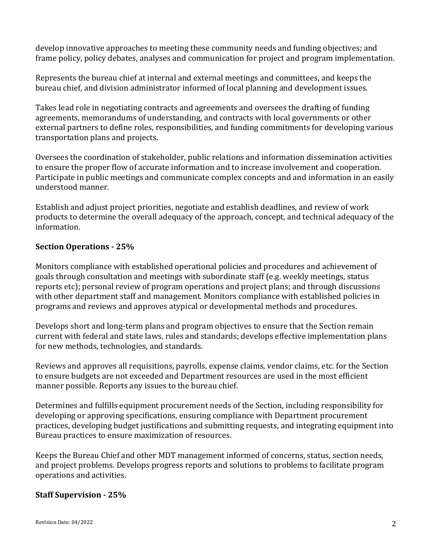develop innovative approaches to meeting these community needs and funding objectives; and frame policy, policy debates, analyses and communication for project and program implementation.

Represents the bureau chief at internal and external meetings and committees, and keeps the bureau chief, and division administrator informed of local planning and development issues.

Takes lead role in negotiating contracts and agreements and oversees the drafting of funding agreements, memorandums of understanding, and contracts with local governments or other external partners to define roles, responsibilities, and funding commitments for developing various transportation plans and projects.

Oversees the coordination of stakeholder, public relations and information dissemination activities to ensure the proper flow of accurate information and to increase involvement and cooperation. Participate in public meetings and communicate complex concepts and and information in an easily understood manner.

Establish and adjust project priorities, negotiate and establish deadlines, and review of work products to determine the overall adequacy of the approach, concept, and technical adequacy of the information.

## **Section Operations - 25%**

Monitors compliance with established operational policies and procedures and achievement of goals through consultation and meetings with subordinate staff (e.g. weekly meetings, status reports etc); personal review of program operations and project plans; and through discussions with other department staff and management. Monitors compliance with established policies in programs and reviews and approves atypical or developmental methods and procedures.

Develops short and long-term plans and program objectives to ensure that the Section remain current with federal and state laws, rules and standards; develops effective implementation plans for new methods, technologies, and standards.

Reviews and approves all requisitions, payrolls, expense claims, vendor claims, etc. for the Section to ensure budgets are not exceeded and Department resources are used in the most efficient manner possible. Reports any issues to the bureau chief.

Determines and fulfills equipment procurement needs of the Section, including responsibility for developing or approving specifications, ensuring compliance with Department procurement practices, developing budget justifications and submitting requests, and integrating equipment into Bureau practices to ensure maximization of resources.

Keeps the Bureau Chief and other MDT management informed of concerns, status, section needs, and project problems. Develops progress reports and solutions to problems to facilitate program operations and activities.

## **Staff Supervision - 25%**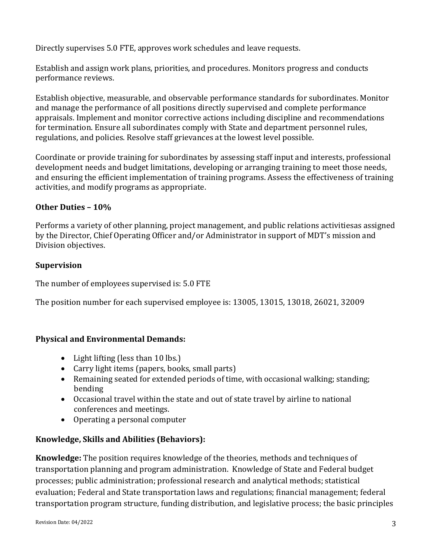Directly supervises 5.0 FTE, approves work schedules and leave requests.

Establish and assign work plans, priorities, and procedures. Monitors progress and conducts performance reviews.

Establish objective, measurable, and observable performance standards for subordinates. Monitor and manage the performance of all positions directly supervised and complete performance appraisals. Implement and monitor corrective actions including discipline and recommendations for termination. Ensure all subordinates comply with State and department personnel rules, regulations, and policies. Resolve staff grievances at the lowest level possible.

Coordinate or provide training for subordinates by assessing staff input and interests, professional development needs and budget limitations, developing or arranging training to meet those needs, and ensuring the efficient implementation of training programs. Assess the effectiveness of training activities, and modify programs as appropriate.

## **Other Duties – 10%**

Performs a variety of other planning, project management, and public relations activitiesas assigned by the Director, Chief Operating Officer and/or Administrator in support of MDT's mission and Division objectives.

#### **Supervision**

The number of employees supervised is: 5.0 FTE

The position number for each supervised employee is: 13005, 13015, 13018, 26021, 32009

## **Physical and Environmental Demands:**

- Light lifting (less than 10 lbs.)
- Carry light items (papers, books, small parts)
- Remaining seated for extended periods of time, with occasional walking; standing; bending
- Occasional travel within the state and out of state travel by airline to national conferences and meetings.
- Operating a personal computer

## **Knowledge, Skills and Abilities (Behaviors):**

**Knowledge:** The position requires knowledge of the theories, methods and techniques of transportation planning and program administration. Knowledge of State and Federal budget processes; public administration; professional research and analytical methods; statistical evaluation; Federal and State transportation laws and regulations; financial management; federal transportation program structure, funding distribution, and legislative process; the basic principles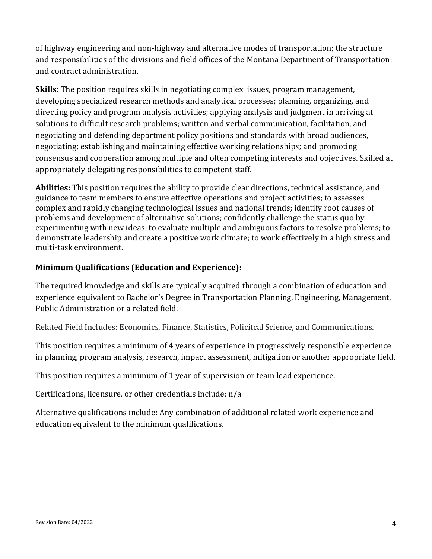of highway engineering and non-highway and alternative modes of transportation; the structure and responsibilities of the divisions and field offices of the Montana Department of Transportation; and contract administration.

**Skills:** The position requires skills in negotiating complex issues, program management, developing specialized research methods and analytical processes; planning, organizing, and directing policy and program analysis activities; applying analysis and judgment in arriving at solutions to difficult research problems; written and verbal communication, facilitation, and negotiating and defending department policy positions and standards with broad audiences, negotiating; establishing and maintaining effective working relationships; and promoting consensus and cooperation among multiple and often competing interests and objectives. Skilled at appropriately delegating responsibilities to competent staff.

**Abilities:** This position requires the ability to provide clear directions, technical assistance, and guidance to team members to ensure effective operations and project activities; to assesses complex and rapidly changing technological issues and national trends; identify root causes of problems and development of alternative solutions; confidently challenge the status quo by experimenting with new ideas; to evaluate multiple and ambiguous factors to resolve problems; to demonstrate leadership and create a positive work climate; to work effectively in a high stress and multi-task environment.

# **Minimum Qualifications (Education and Experience):**

The required knowledge and skills are typically acquired through a combination of education and experience equivalent to Bachelor's Degree in Transportation Planning, Engineering, Management, Public Administration or a related field.

Related Field Includes: Economics, Finance, Statistics, Policitcal Science, and Communications.

This position requires a minimum of 4 years of experience in progressively responsible experience in planning, program analysis, research, impact assessment, mitigation or another appropriate field.

This position requires a minimum of 1 year of supervision or team lead experience.

Certifications, licensure, or other credentials include: n/a

Alternative qualifications include: Any combination of additional related work experience and education equivalent to the minimum qualifications.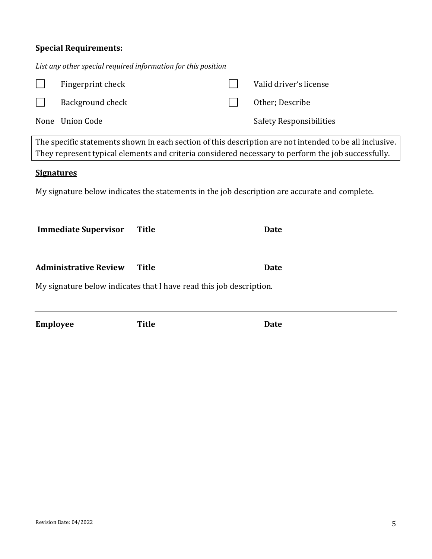| <b>Special Requirements:</b> |  |  |
|------------------------------|--|--|
|                              |  |  |

| List any other special required information for this position                                                                                                                                                 |              |  |                         |  |
|---------------------------------------------------------------------------------------------------------------------------------------------------------------------------------------------------------------|--------------|--|-------------------------|--|
| Fingerprint check                                                                                                                                                                                             |              |  | Valid driver's license  |  |
| Background check                                                                                                                                                                                              |              |  | Other; Describe         |  |
| None Union Code                                                                                                                                                                                               |              |  | Safety Responsibilities |  |
| The specific statements shown in each section of this description are not intended to be all inclusive.<br>They represent typical elements and criteria considered necessary to perform the job successfully. |              |  |                         |  |
| <b>Signatures</b><br>My signature below indicates the statements in the job description are accurate and complete.                                                                                            |              |  |                         |  |
|                                                                                                                                                                                                               |              |  |                         |  |
| <b>Immediate Supervisor</b>                                                                                                                                                                                   | <b>Title</b> |  | Date                    |  |
| <b>Administrative Review</b>                                                                                                                                                                                  | <b>Title</b> |  | <b>Date</b>             |  |
| My signature below indicates that I have read this job description.                                                                                                                                           |              |  |                         |  |